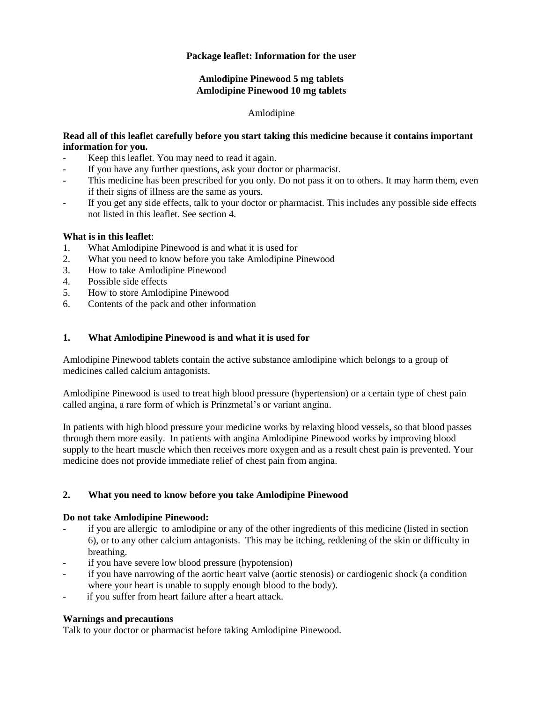# **Package leaflet: Information for the user**

# **Amlodipine Pinewood 5 mg tablets Amlodipine Pinewood 10 mg tablets**

### Amlodipine

### **Read all of this leaflet carefully before you start taking this medicine because it contains important information for you.**

- Keep this leaflet. You may need to read it again.
- If you have any further questions, ask your doctor or pharmacist.
- This medicine has been prescribed for you only. Do not pass it on to others. It may harm them, even if their signs of illness are the same as yours.
- If you get any side effects, talk to your doctor or pharmacist. This includes any possible side effects not listed in this leaflet. See section 4.

### **What is in this leaflet**:

- 1. What Amlodipine Pinewood is and what it is used for
- 2. What you need to know before you take Amlodipine Pinewood
- 3. How to take Amlodipine Pinewood
- 4. Possible side effects
- 5. How to store Amlodipine Pinewood
- 6. Contents of the pack and other information

# **1. What Amlodipine Pinewood is and what it is used for**

Amlodipine Pinewood tablets contain the active substance amlodipine which belongs to a group of medicines called calcium antagonists.

Amlodipine Pinewood is used to treat high blood pressure (hypertension) or a certain type of chest pain called angina, a rare form of which is Prinzmetal's or variant angina.

In patients with high blood pressure your medicine works by relaxing blood vessels, so that blood passes through them more easily. In patients with angina Amlodipine Pinewood works by improving blood supply to the heart muscle which then receives more oxygen and as a result chest pain is prevented. Your medicine does not provide immediate relief of chest pain from angina.

# **2. What you need to know before you take Amlodipine Pinewood**

### **Do not take Amlodipine Pinewood:**

- if you are allergic to amlodipine or any of the other ingredients of this medicine (listed in section 6), or to any other calcium antagonists. This may be itching, reddening of the skin or difficulty in breathing.
- if you have severe low blood pressure (hypotension)
- if you have narrowing of the aortic heart valve (aortic stenosis) or cardiogenic shock (a condition where your heart is unable to supply enough blood to the body).
- if you suffer from heart failure after a heart attack.

# **Warnings and precautions**

Talk to your doctor or pharmacist before taking Amlodipine Pinewood.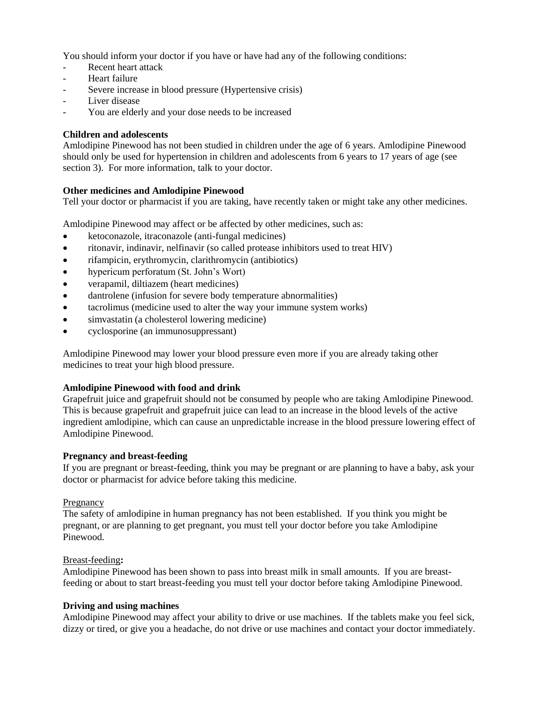You should inform your doctor if you have or have had any of the following conditions:

- Recent heart attack
- Heart failure
- Severe increase in blood pressure (Hypertensive crisis)
- Liver disease
- You are elderly and your dose needs to be increased

# **Children and adolescents**

Amlodipine Pinewood has not been studied in children under the age of 6 years. Amlodipine Pinewood should only be used for hypertension in children and adolescents from 6 years to 17 years of age (see section 3). For more information, talk to your doctor.

# **Other medicines and Amlodipine Pinewood**

Tell your doctor or pharmacist if you are taking, have recently taken or might take any other medicines.

Amlodipine Pinewood may affect or be affected by other medicines, such as:

- ketoconazole, itraconazole (anti-fungal medicines)
- ritonavir, indinavir, nelfinavir (so called protease inhibitors used to treat HIV)
- rifampicin, erythromycin, clarithromycin (antibiotics)
- hypericum perforatum (St. John's Wort)
- verapamil, diltiazem (heart medicines)
- dantrolene (infusion for severe body temperature abnormalities)
- tacrolimus (medicine used to alter the way your immune system works)
- simvastatin (a cholesterol lowering medicine)
- cyclosporine (an immunosuppressant)

Amlodipine Pinewood may lower your blood pressure even more if you are already taking other medicines to treat your high blood pressure.

# **Amlodipine Pinewood with food and drink**

Grapefruit juice and grapefruit should not be consumed by people who are taking Amlodipine Pinewood. This is because grapefruit and grapefruit juice can lead to an increase in the blood levels of the active ingredient amlodipine, which can cause an unpredictable increase in the blood pressure lowering effect of Amlodipine Pinewood.

### **Pregnancy and breast-feeding**

If you are pregnant or breast-feeding, think you may be pregnant or are planning to have a baby, ask your doctor or pharmacist for advice before taking this medicine.

### Pregnancy

The safety of amlodipine in human pregnancy has not been established. If you think you might be pregnant, or are planning to get pregnant, you must tell your doctor before you take Amlodipine Pinewood.

### Breast-feeding**:**

Amlodipine Pinewood has been shown to pass into breast milk in small amounts. If you are breastfeeding or about to start breast-feeding you must tell your doctor before taking Amlodipine Pinewood.

### **Driving and using machines**

Amlodipine Pinewood may affect your ability to drive or use machines. If the tablets make you feel sick, dizzy or tired, or give you a headache, do not drive or use machines and contact your doctor immediately.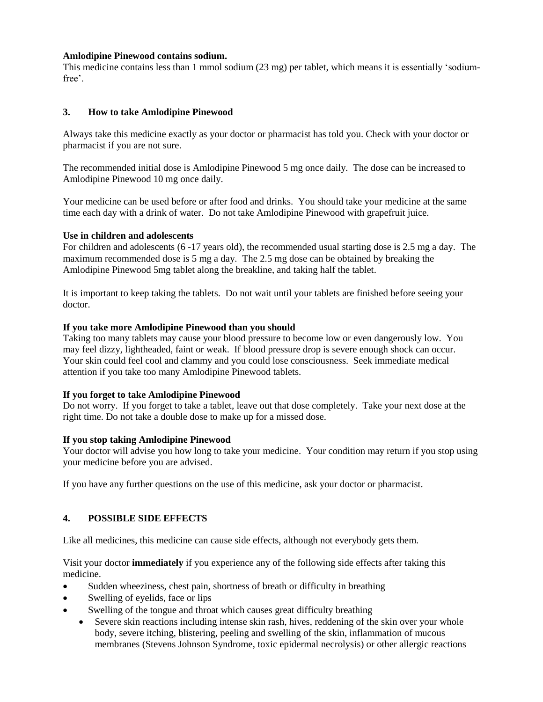### **Amlodipine Pinewood contains sodium.**

This medicine contains less than 1 mmol sodium (23 mg) per tablet, which means it is essentially 'sodiumfree'.

# **3. How to take Amlodipine Pinewood**

Always take this medicine exactly as your doctor or pharmacist has told you. Check with your doctor or pharmacist if you are not sure.

The recommended initial dose is Amlodipine Pinewood 5 mg once daily. The dose can be increased to Amlodipine Pinewood 10 mg once daily.

Your medicine can be used before or after food and drinks. You should take your medicine at the same time each day with a drink of water. Do not take Amlodipine Pinewood with grapefruit juice.

### **Use in children and adolescents**

For children and adolescents (6 -17 years old), the recommended usual starting dose is 2.5 mg a day. The maximum recommended dose is 5 mg a day. The 2.5 mg dose can be obtained by breaking the Amlodipine Pinewood 5mg tablet along the breakline, and taking half the tablet.

It is important to keep taking the tablets. Do not wait until your tablets are finished before seeing your doctor.

### **If you take more Amlodipine Pinewood than you should**

Taking too many tablets may cause your blood pressure to become low or even dangerously low. You may feel dizzy, lightheaded, faint or weak. If blood pressure drop is severe enough shock can occur. Your skin could feel cool and clammy and you could lose consciousness. Seek immediate medical attention if you take too many Amlodipine Pinewood tablets.

### **If you forget to take Amlodipine Pinewood**

Do not worry. If you forget to take a tablet, leave out that dose completely. Take your next dose at the right time. Do not take a double dose to make up for a missed dose.

### **If you stop taking Amlodipine Pinewood**

Your doctor will advise you how long to take your medicine. Your condition may return if you stop using your medicine before you are advised.

If you have any further questions on the use of this medicine, ask your doctor or pharmacist.

# **4. POSSIBLE SIDE EFFECTS**

Like all medicines, this medicine can cause side effects, although not everybody gets them.

Visit your doctor **immediately** if you experience any of the following side effects after taking this medicine.

- Sudden wheeziness, chest pain, shortness of breath or difficulty in breathing
- Swelling of eyelids, face or lips
- Swelling of the tongue and throat which causes great difficulty breathing
	- Severe skin reactions including intense skin rash, hives, reddening of the skin over your whole body, severe itching, blistering, peeling and swelling of the skin, inflammation of mucous membranes (Stevens Johnson Syndrome, toxic epidermal necrolysis) or other allergic reactions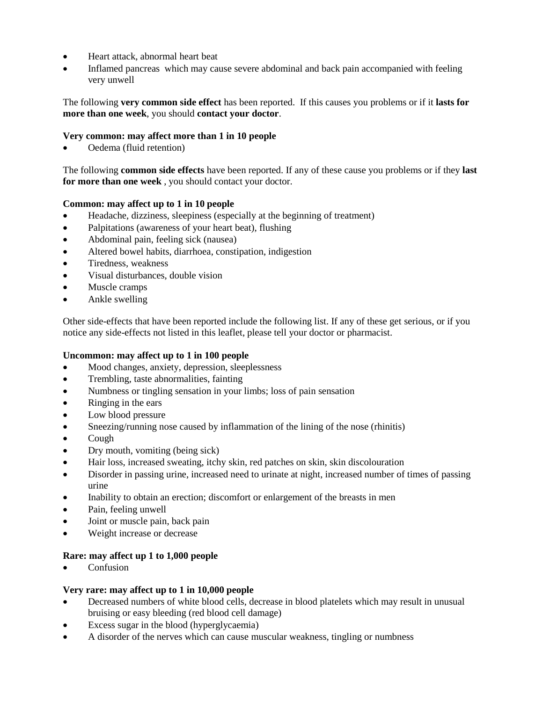- Heart attack, abnormal heart beat
- Inflamed pancreas which may cause severe abdominal and back pain accompanied with feeling very unwell

# The following **very common side effect** has been reported. If this causes you problems or if it **lasts for more than one week**, you should **contact your doctor**.

# **Very common: may affect more than 1 in 10 people**

Oedema (fluid retention)

The following **common side effects** have been reported. If any of these cause you problems or if they **last for more than one week** , you should contact your doctor.

# **Common: may affect up to 1 in 10 people**

- Headache, dizziness, sleepiness (especially at the beginning of treatment)
- Palpitations (awareness of your heart beat), flushing
- Abdominal pain, feeling sick (nausea)
- Altered bowel habits, diarrhoea, constipation, indigestion
- Tiredness, weakness
- Visual disturbances, double vision
- Muscle cramps
- Ankle swelling

Other side-effects that have been reported include the following list. If any of these get serious, or if you notice any side-effects not listed in this leaflet, please tell your doctor or pharmacist.

# **Uncommon: may affect up to 1 in 100 people**

- Mood changes, anxiety, depression, sleeplessness
- Trembling, taste abnormalities, fainting
- Numbness or tingling sensation in your limbs; loss of pain sensation
- Ringing in the ears
- Low blood pressure
- Sneezing/running nose caused by inflammation of the lining of the nose (rhinitis)
- Cough
- Dry mouth, vomiting (being sick)
- Hair loss, increased sweating, itchy skin, red patches on skin, skin discolouration
- Disorder in passing urine, increased need to urinate at night, increased number of times of passing urine
- Inability to obtain an erection; discomfort or enlargement of the breasts in men
- Pain, feeling unwell
- Joint or muscle pain, back pain
- Weight increase or decrease

# **Rare: may affect up 1 to 1,000 people**

Confusion

### **Very rare: may affect up to 1 in 10,000 people**

- Decreased numbers of white blood cells, decrease in blood platelets which may result in unusual bruising or easy bleeding (red blood cell damage)
- Excess sugar in the blood (hyperglycaemia)
- A disorder of the nerves which can cause muscular weakness, tingling or numbness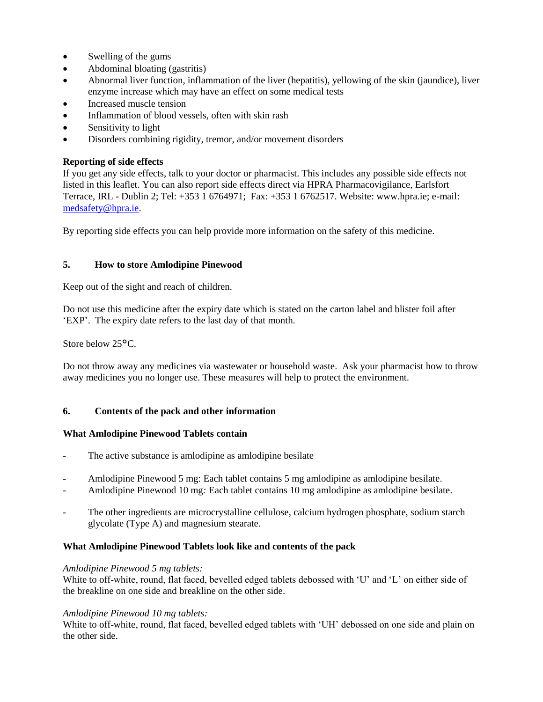- Swelling of the gums
- Abdominal bloating (gastritis)
- Abnormal liver function, inflammation of the liver (hepatitis), yellowing of the skin (jaundice), liver enzyme increase which may have an effect on some medical tests
- Increased muscle tension
- Inflammation of blood vessels, often with skin rash
- Sensitivity to light
- Disorders combining rigidity, tremor, and/or movement disorders

### **Reporting of side effects**

If you get any side effects, talk to your doctor or pharmacist. This includes any possible side effects not listed in this leaflet. You can also report side effects direct via HPRA Pharmacovigilance, Earlsfort Terrace, IRL - Dublin 2; Tel: +353 1 6764971; Fax: +353 1 6762517. Website: www.hpra.ie; e-mail: [medsafety@hpra.ie.](mailto:medsafety@hpra.ie)

By reporting side effects you can help provide more information on the safety of this medicine.

### **5. How to store Amlodipine Pinewood**

Keep out of the sight and reach of children.

Do not use this medicine after the expiry date which is stated on the carton label and blister foil after 'EXP'. The expiry date refers to the last day of that month.

Store below 25°C.

Do not throw away any medicines via wastewater or household waste. Ask your pharmacist how to throw away medicines you no longer use. These measures will help to protect the environment.

### **6. Contents of the pack and other information**

#### **What Amlodipine Pinewood Tablets contain**

- The active substance is amlodipine as amlodipine besilate
- Amlodipine Pinewood 5 mg: Each tablet contains 5 mg amlodipine as amlodipine besilate.
- Amlodipine Pinewood 10 mg*:* Each tablet contains 10 mg amlodipine as amlodipine besilate.
- The other ingredients are microcrystalline cellulose, calcium hydrogen phosphate, sodium starch glycolate (Type A) and magnesium stearate.

### **What Amlodipine Pinewood Tablets look like and contents of the pack**

#### *Amlodipine Pinewood 5 mg tablets:*

White to off-white, round, flat faced, bevelled edged tablets debossed with 'U' and 'L' on either side of the breakline on one side and breakline on the other side.

#### *Amlodipine Pinewood 10 mg tablets:*

White to off-white, round, flat faced, bevelled edged tablets with 'UH' debossed on one side and plain on the other side.